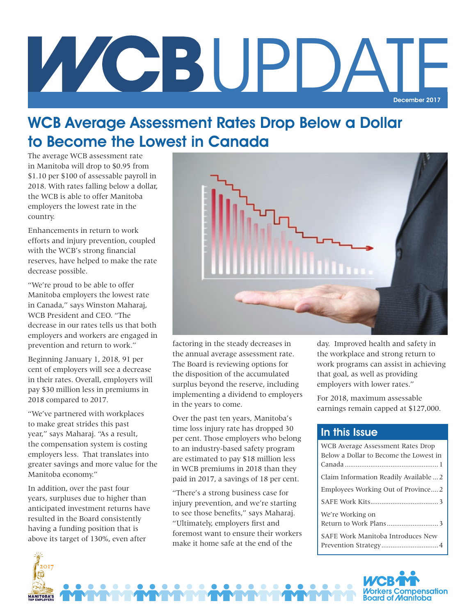# Z CBUPDA December 2017

## WCB Average Assessment Rates Drop Below a Dollar to Become the Lowest in Canada

The average WCB assessment rate in Manitoba will drop to \$0.95 from \$1.10 per \$100 of assessable payroll in 2018. With rates falling below a dollar, the WCB is able to offer Manitoba employers the lowest rate in the country.

Enhancements in return to work efforts and injury prevention, coupled with the WCB's strong financial reserves, have helped to make the rate decrease possible.

"We're proud to be able to offer Manitoba employers the lowest rate in Canada," says Winston Maharaj, WCB President and CEO. "The decrease in our rates tells us that both employers and workers are engaged in prevention and return to work."

Beginning January 1, 2018, 91 per cent of employers will see a decrease in their rates. Overall, employers will pay \$30 million less in premiums in 2018 compared to 2017.

"We've partnered with workplaces to make great strides this past year," says Maharaj. "As a result, the compensation system is costing employers less. That translates into greater savings and more value for the Manitoba economy."

In addition, over the past four years, surpluses due to higher than anticipated investment returns have resulted in the Board consistently having a funding position that is above its target of 130%, even after



factoring in the steady decreases in the annual average assessment rate. The Board is reviewing options for the disposition of the accumulated surplus beyond the reserve, including implementing a dividend to employers in the years to come.

Over the past ten years, Manitoba's time loss injury rate has dropped 30 per cent. Those employers who belong to an industry-based safety program are estimated to pay \$18 million less in WCB premiums in 2018 than they paid in 2017, a savings of 18 per cent.

"There's a strong business case for injury prevention, and we're starting to see those benefits," says Maharaj. "Ultimately, employers first and foremost want to ensure their workers make it home safe at the end of the

day. Improved health and safety in the workplace and strong return to work programs can assist in achieving that goal, as well as providing employers with lower rates."

For 2018, maximum assessable earnings remain capped at \$127,000.

#### In this Issue

| WCB Average Assessment Rates Drop<br>Below a Dollar to Become the Lowest in |
|-----------------------------------------------------------------------------|
|                                                                             |
| Claim Information Readily Available  2                                      |
| Employees Working Out of Province 2                                         |
|                                                                             |
| We're Working on                                                            |
|                                                                             |
| SAFE Work Manitoba Introduces New                                           |



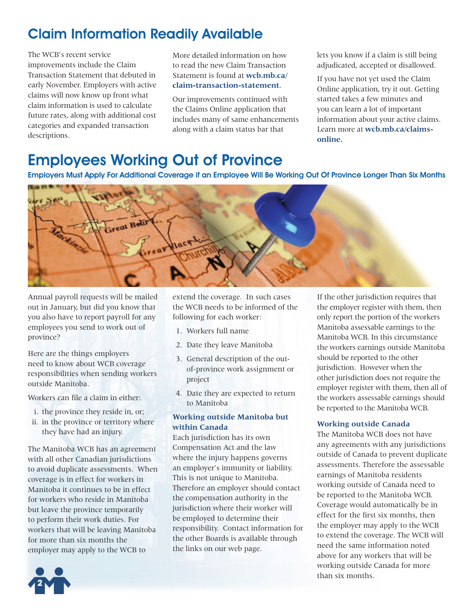## Claim Information Readily Available

The WCB's recent service improvements include the Claim Transaction Statement that debuted in early November. Employers with active claims will now know up front what claim information is used to calculate future rates, along with additional cost categories and expanded transaction descriptions.

More detailed information on how to read the new Claim Transaction Statement is found at **wcb.mb.ca/ claim-transaction-statement**.

Our improvements continued with the Claims Online application that includes many of same enhancements along with a claim status bar that

adjudicated, accepted or disallowed. lets you know if a claim is still being

If you have not yet used the Claim Online application, try it out. Getting started takes a few minutes and you can learn a lot of important information about your active claims. Learn more at **wcb.mb.ca/claimsonline.** 

## Employees Working Out of Province

Employers Must Apply For Additional Coverage if an Employee Will Be Working Out Of Province Longer Than Six Months



Annual payroll requests will be mailed out in January, but did you know that you also have to report payroll for any employees you send to work out of province?

Here are the things employers need to know about WCB coverage responsibilities when sending workers outside Manitoba.

Workers can file a claim in either:

- i. the province they reside in, or;
- ii. in the province or territory where they have had an injury.

The Manitoba WCB has an agreement with all other Canadian jurisdictions to avoid duplicate assessments. When coverage is in effect for workers in Manitoba it continues to be in effect for workers who reside in Manitoba but leave the province temporarily to perform their work duties. For workers that will be leaving Manitoba for more than six months the employer may apply to the WCB to

extend the coverage. In such cases the WCB needs to be informed of the following for each worker:

- 1. Workers full name
- 2. Date they leave Manitoba
- 3. General description of the outof-province work assignment or project
- 4. Date they are expected to return to Manitoba

#### **Working outside Manitoba but within Canada**

Each jurisdiction has its own Compensation Act and the law where the injury happens governs an employer's immunity or liability. This is not unique to Manitoba. Therefore an employer should contact the compensation authority in the jurisdiction where their worker will be employed to determine their responsibility. Contact information for the other Boards is available through the links on our web page.

If the other jurisdiction requires that the employer register with them, then only report the portion of the workers Manitoba assessable earnings to the Manitoba WCB. In this circumstance the workers earnings outside Manitoba should be reported to the other jurisdiction. However when the other jurisdiction does not require the employer register with them, then all of the workers assessable earnings should be reported to the Manitoba WCB.

#### **Working outside Canada**

The Manitoba WCB does not have any agreements with any jurisdictions outside of Canada to prevent duplicate assessments. Therefore the assessable earnings of Manitoba residents working outside of Canada need to be reported to the Manitoba WCB. Coverage would automatically be in effect for the first six months, then the employer may apply to the WCB to extend the coverage. The WCB will need the same information noted above for any workers that will be working outside Canada for more than six months.

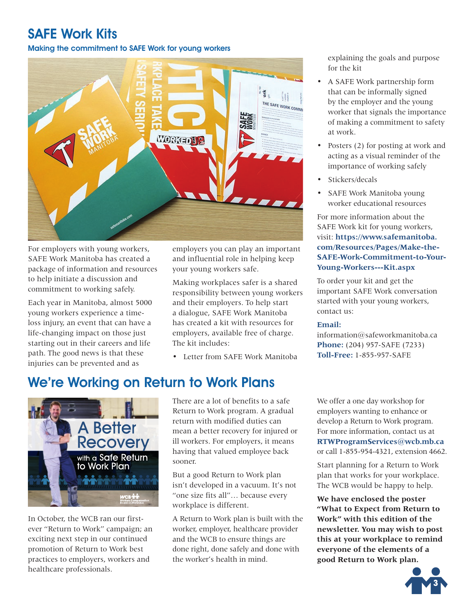### SAFE Work Kits

#### Making the commitment to SAFE Work for young workers



For employers with young workers, SAFE Work Manitoba has created a package of information and resources to help initiate a discussion and commitment to working safely.

Each year in Manitoba, almost 5000 young workers experience a timeloss injury, an event that can have a life-changing impact on those just starting out in their careers and life path. The good news is that these injuries can be prevented and as

employers you can play an important and influential role in helping keep your young workers safe.

Making workplaces safer is a shared responsibility between young workers and their employers. To help start a dialogue, SAFE Work Manitoba has created a kit with resources for employers, available free of charge. The kit includes:

• Letter from SAFE Work Manitoba

## We're Working on Return to Work Plans



In October, the WCB ran our firstever "Return to Work" campaign; an exciting next step in our continued promotion of Return to Work best practices to employers, workers and healthcare professionals.

There are a lot of benefits to a safe Return to Work program. A gradual return with modified duties can mean a better recovery for injured or ill workers. For employers, it means having that valued employee back sooner.

workplace is different. But a good Return to Work plan isn't developed in a vacuum. It's not "one size fits all"… because every

A Return to Work plan is built with the worker, employer, healthcare provider and the WCB to ensure things are done right, done safely and done with the worker's health in mind.

explaining the goals and purpose for the kit

- • A SAFE Work partnership form that can be informally signed by the employer and the young worker that signals the importance of making a commitment to safety at work.
- Posters (2) for posting at work and acting as a visual reminder of the importance of working safely
- Stickers/decals
- SAFE Work Manitoba young worker educational resources

For more information about the SAFE Work kit for young workers, visit: **https://www.safemanitoba. com/Resources/Pages/Make-the-SAFE-Work-Commitment-to-Your-Young-Workers---Kit.aspx** 

To order your kit and get the important SAFE Work conversation started with your young workers, contact us:

#### **Email:**

information@safeworkmanitoba.ca **Phone:** (204) 957-SAFE (7233) **Toll-Free:** 1-855-957-SAFE

 **RTWProgramServices@wcb.mb.ca** We offer a one day workshop for employers wanting to enhance or develop a Return to Work program. For more information, contact us at or call 1-855-954-4321, extension 4662.

Start planning for a Return to Work plan that works for your workplace. The WCB would be happy to help.

**We have enclosed the poster "What to Expect from Return to Work" with this edition of the newsletter. You may wish to post this at your workplace to remind everyone of the elements of a good Return to Work plan.**